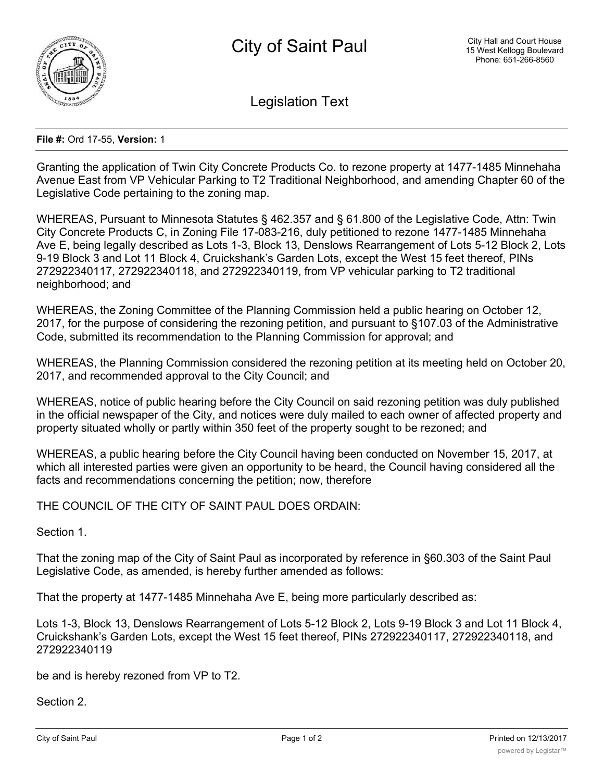

Legislation Text

## **File #:** Ord 17-55, **Version:** 1

Granting the application of Twin City Concrete Products Co. to rezone property at 1477-1485 Minnehaha Avenue East from VP Vehicular Parking to T2 Traditional Neighborhood, and amending Chapter 60 of the Legislative Code pertaining to the zoning map.

WHEREAS, Pursuant to Minnesota Statutes § 462.357 and § 61.800 of the Legislative Code, Attn: Twin City Concrete Products C, in Zoning File 17-083-216, duly petitioned to rezone 1477-1485 Minnehaha Ave E, being legally described as Lots 1-3, Block 13, Denslows Rearrangement of Lots 5-12 Block 2, Lots 9-19 Block 3 and Lot 11 Block 4, Cruickshank's Garden Lots, except the West 15 feet thereof, PINs 272922340117, 272922340118, and 272922340119, from VP vehicular parking to T2 traditional neighborhood; and

WHEREAS, the Zoning Committee of the Planning Commission held a public hearing on October 12, 2017, for the purpose of considering the rezoning petition, and pursuant to §107.03 of the Administrative Code, submitted its recommendation to the Planning Commission for approval; and

WHEREAS, the Planning Commission considered the rezoning petition at its meeting held on October 20, 2017, and recommended approval to the City Council; and

WHEREAS, notice of public hearing before the City Council on said rezoning petition was duly published in the official newspaper of the City, and notices were duly mailed to each owner of affected property and property situated wholly or partly within 350 feet of the property sought to be rezoned; and

WHEREAS, a public hearing before the City Council having been conducted on November 15, 2017, at which all interested parties were given an opportunity to be heard, the Council having considered all the facts and recommendations concerning the petition; now, therefore

THE COUNCIL OF THE CITY OF SAINT PAUL DOES ORDAIN:

Section 1.

That the zoning map of the City of Saint Paul as incorporated by reference in §60.303 of the Saint Paul Legislative Code, as amended, is hereby further amended as follows:

That the property at 1477-1485 Minnehaha Ave E, being more particularly described as:

Lots 1-3, Block 13, Denslows Rearrangement of Lots 5-12 Block 2, Lots 9-19 Block 3 and Lot 11 Block 4, Cruickshank's Garden Lots, except the West 15 feet thereof, PINs 272922340117, 272922340118, and 272922340119

be and is hereby rezoned from VP to T2.

Section 2.